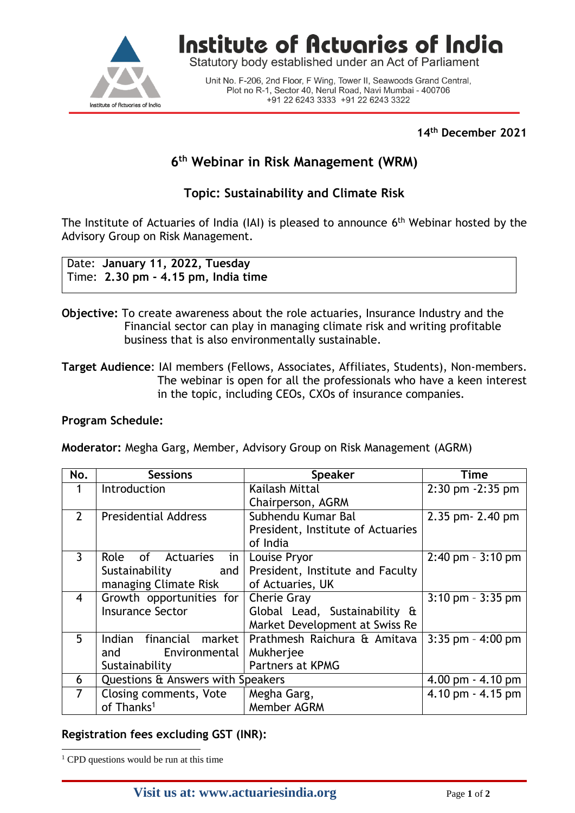

Institute of Actuaries of India

Statutory body established under an Act of Parliament

Unit No. F-206, 2nd Floor, F Wing, Tower II, Seawoods Grand Central, Plot no R-1, Sector 40, Nerul Road, Navi Mumbai - 400706 +91 22 6243 3333 +91 22 6243 3322

#### **14 th December 2021**

# **6 th Webinar in Risk Management (WRM)**

## **Topic: Sustainability and Climate Risk**

The Institute of Actuaries of India (IAI) is pleased to announce  $6<sup>th</sup>$  Webinar hosted by the Advisory Group on Risk Management.

Date: **January 11, 2022, Tuesday** Time: **2.30 pm - 4.15 pm, India time**

- **Objective:** To create awareness about the role actuaries, Insurance Industry and the Financial sector can play in managing climate risk and writing profitable business that is also environmentally sustainable.
- **Target Audience**: IAI members (Fellows, Associates, Affiliates, Students), Non-members. The webinar is open for all the professionals who have a keen interest in the topic, including CEOs, CXOs of insurance companies.

#### **Program Schedule:**

**Moderator:** Megha Garg, Member, Advisory Group on Risk Management (AGRM)

| No.            | <b>Sessions</b>                   | <b>Speaker</b>                    | Time                  |
|----------------|-----------------------------------|-----------------------------------|-----------------------|
|                | Introduction                      | Kailash Mittal                    | 2:30 pm -2:35 pm      |
|                |                                   | Chairperson, AGRM                 |                       |
| $\overline{2}$ | <b>Presidential Address</b>       | Subhendu Kumar Bal                | 2.35 pm- 2.40 pm      |
|                |                                   | President, Institute of Actuaries |                       |
|                |                                   | of India                          |                       |
| $\mathbf{3}$   | Role of Actuaries<br>in           | Louise Pryor                      | $2:40$ pm - $3:10$ pm |
|                | Sustainability<br>and             | President, Institute and Faculty  |                       |
|                | managing Climate Risk             | of Actuaries, UK                  |                       |
| $\overline{4}$ | Growth opportunities for          | Cherie Gray                       | $3:10$ pm - $3:35$ pm |
|                | <b>Insurance Sector</b>           | Global Lead, Sustainability &     |                       |
|                |                                   | Market Development at Swiss Re    |                       |
| 5              | Indian financial market           | Prathmesh Raichura & Amitava      | $3:35$ pm - 4:00 pm   |
|                | and Environmental                 | Mukherjee                         |                       |
|                | Sustainability                    | Partners at KPMG                  |                       |
| 6              | Questions & Answers with Speakers |                                   | 4.00 pm $-$ 4.10 pm   |
| $7^{\circ}$    | Closing comments, Vote            | Megha Garg,                       | 4.10 pm - 4.15 pm     |
|                | of Thanks <sup>1</sup>            | Member AGRM                       |                       |

### **Registration fees excluding GST (INR):**

 $\overline{a}$ 

<sup>&</sup>lt;sup>1</sup> CPD questions would be run at this time